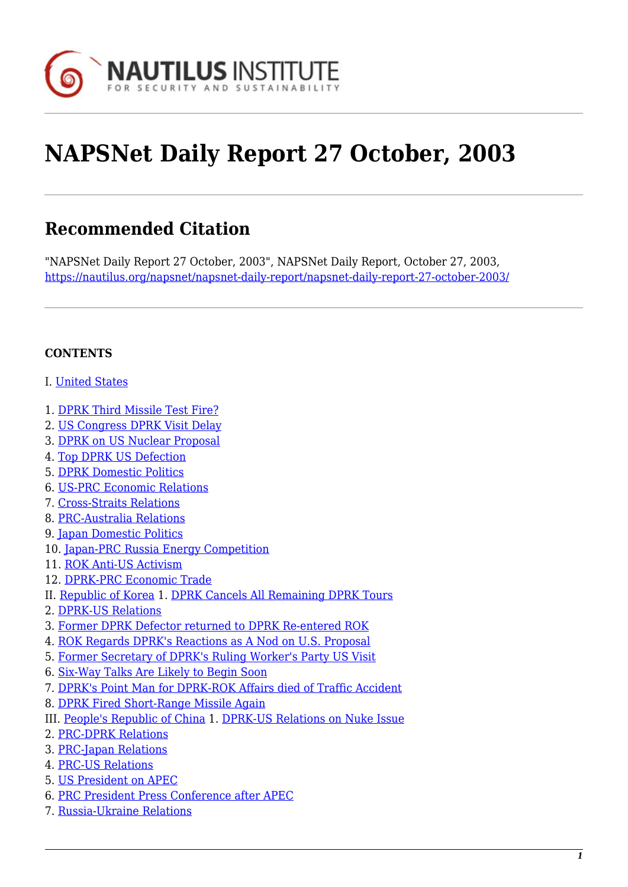

# **NAPSNet Daily Report 27 October, 2003**

## **Recommended Citation**

"NAPSNet Daily Report 27 October, 2003", NAPSNet Daily Report, October 27, 2003, <https://nautilus.org/napsnet/napsnet-daily-report/napsnet-daily-report-27-october-2003/>

#### **CONTENTS**

#### I. [United States](#page-0-0)

- 1. [DPRK Third Missile Test Fire?](#page-1-0)
- 2. [US Congress DPRK Visit Delay](#page-1-1)
- 3. [DPRK on US Nuclear Proposal](#page-1-2)
- 4. [Top DPRK US Defection](#page-2-0)
- 5. [DPRK Domestic Politics](#page-2-1)
- 6. [US-PRC Economic Relations](#page-2-2)
- 7. [Cross-Straits Relations](#page-3-0)
- 8. [PRC-Australia Relations](#page-3-1)
- 9. [Japan Domestic Politics](#page-4-0)
- 10. [Japan-PRC Russia Energy Competition](#page-4-1)
- 11. [ROK Anti-US Activism](#page-5-0)
- 12. [DPRK-PRC Economic Trade](#page-5-1)
- II. [Republic of Korea](#page-5-2) 1. [DPRK Cancels All Remaining DPRK Tours](#page-5-3)
- 2. [DPRK-US Relations](#page-6-0)
- 3. [Former DPRK Defector returned to DPRK Re-entered ROK](#page-6-1)
- 4. [ROK Regards DPRK's Reactions as A Nod on U.S. Proposal](#page-7-0)
- 5. [Former Secretary of DPRK's Ruling Worker's Party US Visit](#page-7-1)
- 6. [Six-Way Talks Are Likely to Begin Soon](#page-8-0)
- 7. [DPRK's Point Man for DPRK-ROK Affairs died of Traffic Accident](#page-8-1)
- 8. [DPRK Fired Short-Range Missile Again](#page-9-0)
- III. [People's Republic of China](#page-9-1) 1. [DPRK-US Relations on Nuke Issue](#page-9-2)
- 2. [PRC-DPRK Relations](#page-9-3)
- 3. [PRC-Japan Relations](#page-10-0)
- 4. [PRC-US Relations](#page-10-1)
- 5. [US President on APEC](#page-10-2)
- 6. [PRC President Press Conference after APEC](#page-11-0)
- <span id="page-0-0"></span>7. [Russia-Ukraine Relations](#page-11-1)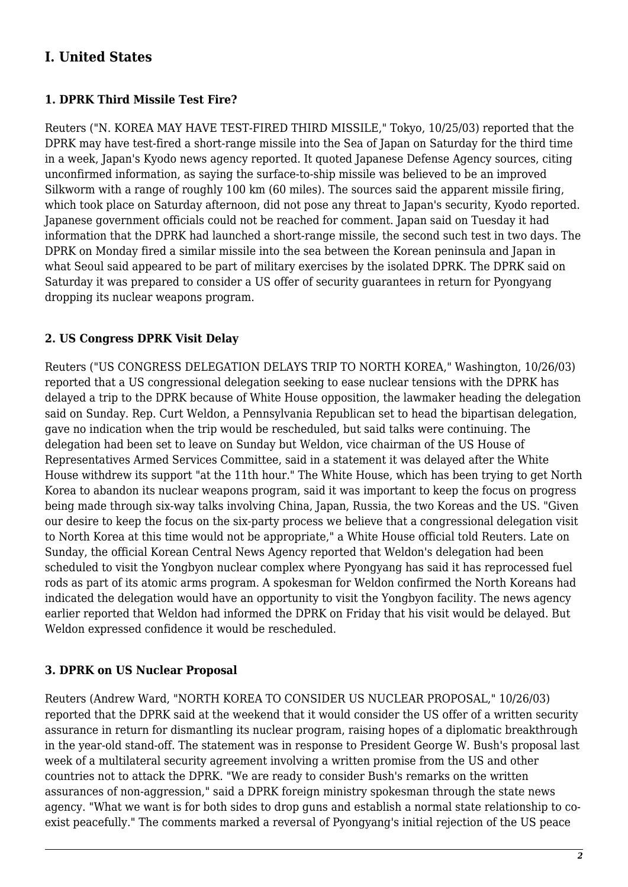## **I. United States**

#### <span id="page-1-0"></span>**1. DPRK Third Missile Test Fire?**

Reuters ("N. KOREA MAY HAVE TEST-FIRED THIRD MISSILE," Tokyo, 10/25/03) reported that the DPRK may have test-fired a short-range missile into the Sea of Japan on Saturday for the third time in a week, Japan's Kyodo news agency reported. It quoted Japanese Defense Agency sources, citing unconfirmed information, as saying the surface-to-ship missile was believed to be an improved Silkworm with a range of roughly 100 km (60 miles). The sources said the apparent missile firing, which took place on Saturday afternoon, did not pose any threat to Japan's security, Kyodo reported. Japanese government officials could not be reached for comment. Japan said on Tuesday it had information that the DPRK had launched a short-range missile, the second such test in two days. The DPRK on Monday fired a similar missile into the sea between the Korean peninsula and Japan in what Seoul said appeared to be part of military exercises by the isolated DPRK. The DPRK said on Saturday it was prepared to consider a US offer of security guarantees in return for Pyongyang dropping its nuclear weapons program.

#### <span id="page-1-1"></span>**2. US Congress DPRK Visit Delay**

Reuters ("US CONGRESS DELEGATION DELAYS TRIP TO NORTH KOREA," Washington, 10/26/03) reported that a US congressional delegation seeking to ease nuclear tensions with the DPRK has delayed a trip to the DPRK because of White House opposition, the lawmaker heading the delegation said on Sunday. Rep. Curt Weldon, a Pennsylvania Republican set to head the bipartisan delegation, gave no indication when the trip would be rescheduled, but said talks were continuing. The delegation had been set to leave on Sunday but Weldon, vice chairman of the US House of Representatives Armed Services Committee, said in a statement it was delayed after the White House withdrew its support "at the 11th hour." The White House, which has been trying to get North Korea to abandon its nuclear weapons program, said it was important to keep the focus on progress being made through six-way talks involving China, Japan, Russia, the two Koreas and the US. "Given our desire to keep the focus on the six-party process we believe that a congressional delegation visit to North Korea at this time would not be appropriate," a White House official told Reuters. Late on Sunday, the official Korean Central News Agency reported that Weldon's delegation had been scheduled to visit the Yongbyon nuclear complex where Pyongyang has said it has reprocessed fuel rods as part of its atomic arms program. A spokesman for Weldon confirmed the North Koreans had indicated the delegation would have an opportunity to visit the Yongbyon facility. The news agency earlier reported that Weldon had informed the DPRK on Friday that his visit would be delayed. But Weldon expressed confidence it would be rescheduled.

#### <span id="page-1-2"></span>**3. DPRK on US Nuclear Proposal**

Reuters (Andrew Ward, "NORTH KOREA TO CONSIDER US NUCLEAR PROPOSAL," 10/26/03) reported that the DPRK said at the weekend that it would consider the US offer of a written security assurance in return for dismantling its nuclear program, raising hopes of a diplomatic breakthrough in the year-old stand-off. The statement was in response to President George W. Bush's proposal last week of a multilateral security agreement involving a written promise from the US and other countries not to attack the DPRK. "We are ready to consider Bush's remarks on the written assurances of non-aggression," said a DPRK foreign ministry spokesman through the state news agency. "What we want is for both sides to drop guns and establish a normal state relationship to coexist peacefully." The comments marked a reversal of Pyongyang's initial rejection of the US peace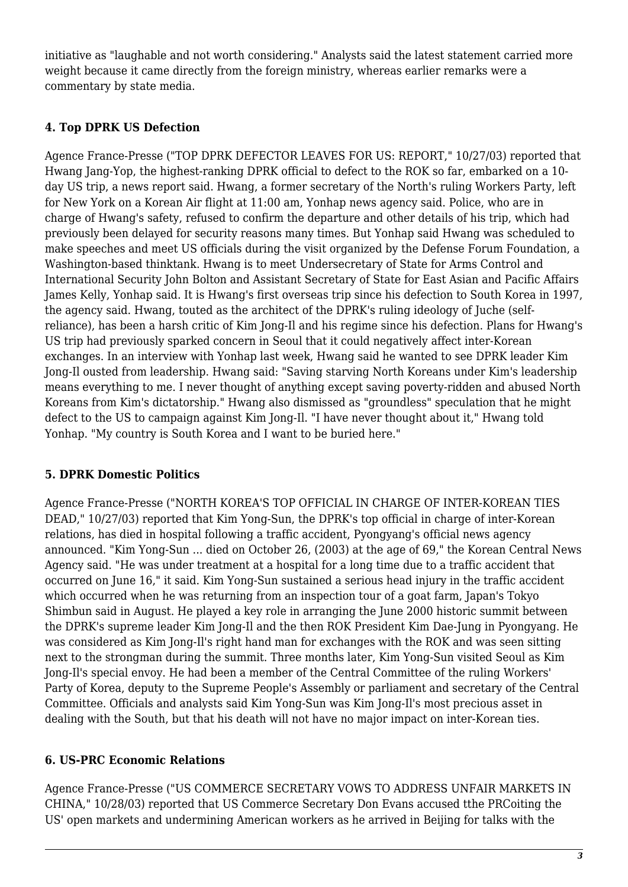initiative as "laughable and not worth considering." Analysts said the latest statement carried more weight because it came directly from the foreign ministry, whereas earlier remarks were a commentary by state media.

#### <span id="page-2-0"></span>**4. Top DPRK US Defection**

Agence France-Presse ("TOP DPRK DEFECTOR LEAVES FOR US: REPORT," 10/27/03) reported that Hwang Jang-Yop, the highest-ranking DPRK official to defect to the ROK so far, embarked on a 10 day US trip, a news report said. Hwang, a former secretary of the North's ruling Workers Party, left for New York on a Korean Air flight at 11:00 am, Yonhap news agency said. Police, who are in charge of Hwang's safety, refused to confirm the departure and other details of his trip, which had previously been delayed for security reasons many times. But Yonhap said Hwang was scheduled to make speeches and meet US officials during the visit organized by the Defense Forum Foundation, a Washington-based thinktank. Hwang is to meet Undersecretary of State for Arms Control and International Security John Bolton and Assistant Secretary of State for East Asian and Pacific Affairs James Kelly, Yonhap said. It is Hwang's first overseas trip since his defection to South Korea in 1997, the agency said. Hwang, touted as the architect of the DPRK's ruling ideology of Juche (selfreliance), has been a harsh critic of Kim Jong-Il and his regime since his defection. Plans for Hwang's US trip had previously sparked concern in Seoul that it could negatively affect inter-Korean exchanges. In an interview with Yonhap last week, Hwang said he wanted to see DPRK leader Kim Jong-Il ousted from leadership. Hwang said: "Saving starving North Koreans under Kim's leadership means everything to me. I never thought of anything except saving poverty-ridden and abused North Koreans from Kim's dictatorship." Hwang also dismissed as "groundless" speculation that he might defect to the US to campaign against Kim Jong-Il. "I have never thought about it," Hwang told Yonhap. "My country is South Korea and I want to be buried here."

#### <span id="page-2-1"></span>**5. DPRK Domestic Politics**

Agence France-Presse ("NORTH KOREA'S TOP OFFICIAL IN CHARGE OF INTER-KOREAN TIES DEAD," 10/27/03) reported that Kim Yong-Sun, the DPRK's top official in charge of inter-Korean relations, has died in hospital following a traffic accident, Pyongyang's official news agency announced. "Kim Yong-Sun ... died on October 26, (2003) at the age of 69," the Korean Central News Agency said. "He was under treatment at a hospital for a long time due to a traffic accident that occurred on June 16," it said. Kim Yong-Sun sustained a serious head injury in the traffic accident which occurred when he was returning from an inspection tour of a goat farm, Japan's Tokyo Shimbun said in August. He played a key role in arranging the June 2000 historic summit between the DPRK's supreme leader Kim Jong-Il and the then ROK President Kim Dae-Jung in Pyongyang. He was considered as Kim Jong-Il's right hand man for exchanges with the ROK and was seen sitting next to the strongman during the summit. Three months later, Kim Yong-Sun visited Seoul as Kim Jong-Il's special envoy. He had been a member of the Central Committee of the ruling Workers' Party of Korea, deputy to the Supreme People's Assembly or parliament and secretary of the Central Committee. Officials and analysts said Kim Yong-Sun was Kim Jong-Il's most precious asset in dealing with the South, but that his death will not have no major impact on inter-Korean ties.

#### <span id="page-2-2"></span>**6. US-PRC Economic Relations**

Agence France-Presse ("US COMMERCE SECRETARY VOWS TO ADDRESS UNFAIR MARKETS IN CHINA," 10/28/03) reported that US Commerce Secretary Don Evans accused tthe PRCoiting the US' open markets and undermining American workers as he arrived in Beijing for talks with the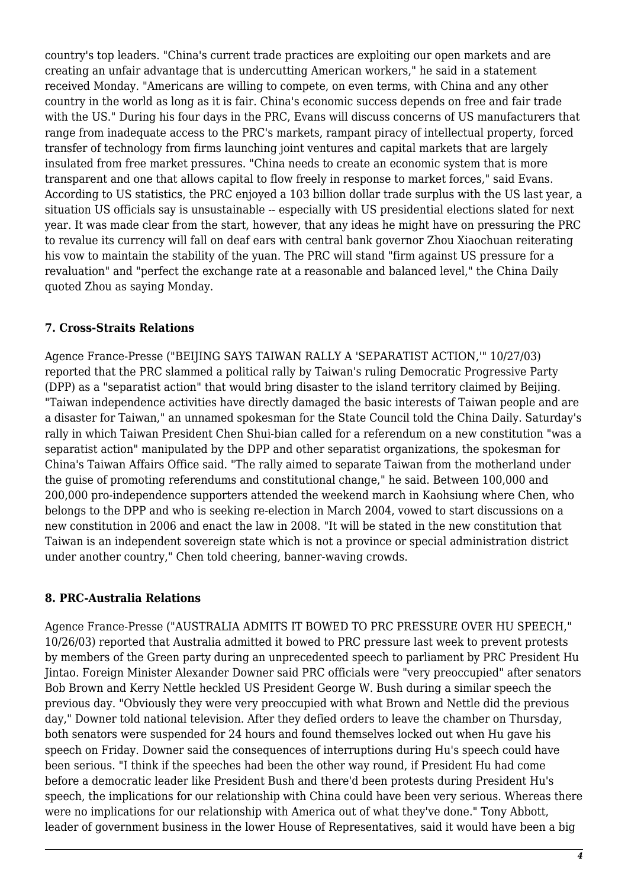country's top leaders. "China's current trade practices are exploiting our open markets and are creating an unfair advantage that is undercutting American workers," he said in a statement received Monday. "Americans are willing to compete, on even terms, with China and any other country in the world as long as it is fair. China's economic success depends on free and fair trade with the US." During his four days in the PRC, Evans will discuss concerns of US manufacturers that range from inadequate access to the PRC's markets, rampant piracy of intellectual property, forced transfer of technology from firms launching joint ventures and capital markets that are largely insulated from free market pressures. "China needs to create an economic system that is more transparent and one that allows capital to flow freely in response to market forces," said Evans. According to US statistics, the PRC enjoyed a 103 billion dollar trade surplus with the US last year, a situation US officials say is unsustainable -- especially with US presidential elections slated for next year. It was made clear from the start, however, that any ideas he might have on pressuring the PRC to revalue its currency will fall on deaf ears with central bank governor Zhou Xiaochuan reiterating his vow to maintain the stability of the yuan. The PRC will stand "firm against US pressure for a revaluation" and "perfect the exchange rate at a reasonable and balanced level," the China Daily quoted Zhou as saying Monday.

#### <span id="page-3-0"></span>**7. Cross-Straits Relations**

Agence France-Presse ("BEIJING SAYS TAIWAN RALLY A 'SEPARATIST ACTION,'" 10/27/03) reported that the PRC slammed a political rally by Taiwan's ruling Democratic Progressive Party (DPP) as a "separatist action" that would bring disaster to the island territory claimed by Beijing. "Taiwan independence activities have directly damaged the basic interests of Taiwan people and are a disaster for Taiwan," an unnamed spokesman for the State Council told the China Daily. Saturday's rally in which Taiwan President Chen Shui-bian called for a referendum on a new constitution "was a separatist action" manipulated by the DPP and other separatist organizations, the spokesman for China's Taiwan Affairs Office said. "The rally aimed to separate Taiwan from the motherland under the guise of promoting referendums and constitutional change," he said. Between 100,000 and 200,000 pro-independence supporters attended the weekend march in Kaohsiung where Chen, who belongs to the DPP and who is seeking re-election in March 2004, vowed to start discussions on a new constitution in 2006 and enact the law in 2008. "It will be stated in the new constitution that Taiwan is an independent sovereign state which is not a province or special administration district under another country," Chen told cheering, banner-waving crowds.

#### <span id="page-3-1"></span>**8. PRC-Australia Relations**

Agence France-Presse ("AUSTRALIA ADMITS IT BOWED TO PRC PRESSURE OVER HU SPEECH," 10/26/03) reported that Australia admitted it bowed to PRC pressure last week to prevent protests by members of the Green party during an unprecedented speech to parliament by PRC President Hu Jintao. Foreign Minister Alexander Downer said PRC officials were "very preoccupied" after senators Bob Brown and Kerry Nettle heckled US President George W. Bush during a similar speech the previous day. "Obviously they were very preoccupied with what Brown and Nettle did the previous day," Downer told national television. After they defied orders to leave the chamber on Thursday, both senators were suspended for 24 hours and found themselves locked out when Hu gave his speech on Friday. Downer said the consequences of interruptions during Hu's speech could have been serious. "I think if the speeches had been the other way round, if President Hu had come before a democratic leader like President Bush and there'd been protests during President Hu's speech, the implications for our relationship with China could have been very serious. Whereas there were no implications for our relationship with America out of what they've done." Tony Abbott, leader of government business in the lower House of Representatives, said it would have been a big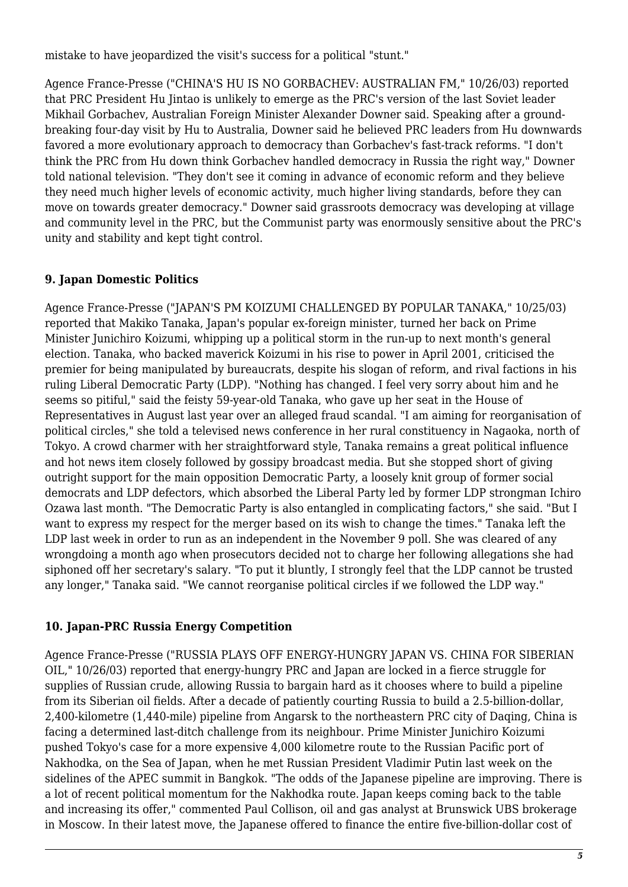mistake to have jeopardized the visit's success for a political "stunt."

Agence France-Presse ("CHINA'S HU IS NO GORBACHEV: AUSTRALIAN FM," 10/26/03) reported that PRC President Hu Jintao is unlikely to emerge as the PRC's version of the last Soviet leader Mikhail Gorbachev, Australian Foreign Minister Alexander Downer said. Speaking after a groundbreaking four-day visit by Hu to Australia, Downer said he believed PRC leaders from Hu downwards favored a more evolutionary approach to democracy than Gorbachev's fast-track reforms. "I don't think the PRC from Hu down think Gorbachev handled democracy in Russia the right way," Downer told national television. "They don't see it coming in advance of economic reform and they believe they need much higher levels of economic activity, much higher living standards, before they can move on towards greater democracy." Downer said grassroots democracy was developing at village and community level in the PRC, but the Communist party was enormously sensitive about the PRC's unity and stability and kept tight control.

#### <span id="page-4-0"></span>**9. Japan Domestic Politics**

Agence France-Presse ("JAPAN'S PM KOIZUMI CHALLENGED BY POPULAR TANAKA," 10/25/03) reported that Makiko Tanaka, Japan's popular ex-foreign minister, turned her back on Prime Minister Junichiro Koizumi, whipping up a political storm in the run-up to next month's general election. Tanaka, who backed maverick Koizumi in his rise to power in April 2001, criticised the premier for being manipulated by bureaucrats, despite his slogan of reform, and rival factions in his ruling Liberal Democratic Party (LDP). "Nothing has changed. I feel very sorry about him and he seems so pitiful," said the feisty 59-year-old Tanaka, who gave up her seat in the House of Representatives in August last year over an alleged fraud scandal. "I am aiming for reorganisation of political circles," she told a televised news conference in her rural constituency in Nagaoka, north of Tokyo. A crowd charmer with her straightforward style, Tanaka remains a great political influence and hot news item closely followed by gossipy broadcast media. But she stopped short of giving outright support for the main opposition Democratic Party, a loosely knit group of former social democrats and LDP defectors, which absorbed the Liberal Party led by former LDP strongman Ichiro Ozawa last month. "The Democratic Party is also entangled in complicating factors," she said. "But I want to express my respect for the merger based on its wish to change the times." Tanaka left the LDP last week in order to run as an independent in the November 9 poll. She was cleared of any wrongdoing a month ago when prosecutors decided not to charge her following allegations she had siphoned off her secretary's salary. "To put it bluntly, I strongly feel that the LDP cannot be trusted any longer," Tanaka said. "We cannot reorganise political circles if we followed the LDP way."

#### <span id="page-4-1"></span>**10. Japan-PRC Russia Energy Competition**

Agence France-Presse ("RUSSIA PLAYS OFF ENERGY-HUNGRY JAPAN VS. CHINA FOR SIBERIAN OIL," 10/26/03) reported that energy-hungry PRC and Japan are locked in a fierce struggle for supplies of Russian crude, allowing Russia to bargain hard as it chooses where to build a pipeline from its Siberian oil fields. After a decade of patiently courting Russia to build a 2.5-billion-dollar, 2,400-kilometre (1,440-mile) pipeline from Angarsk to the northeastern PRC city of Daqing, China is facing a determined last-ditch challenge from its neighbour. Prime Minister Junichiro Koizumi pushed Tokyo's case for a more expensive 4,000 kilometre route to the Russian Pacific port of Nakhodka, on the Sea of Japan, when he met Russian President Vladimir Putin last week on the sidelines of the APEC summit in Bangkok. "The odds of the Japanese pipeline are improving. There is a lot of recent political momentum for the Nakhodka route. Japan keeps coming back to the table and increasing its offer," commented Paul Collison, oil and gas analyst at Brunswick UBS brokerage in Moscow. In their latest move, the Japanese offered to finance the entire five-billion-dollar cost of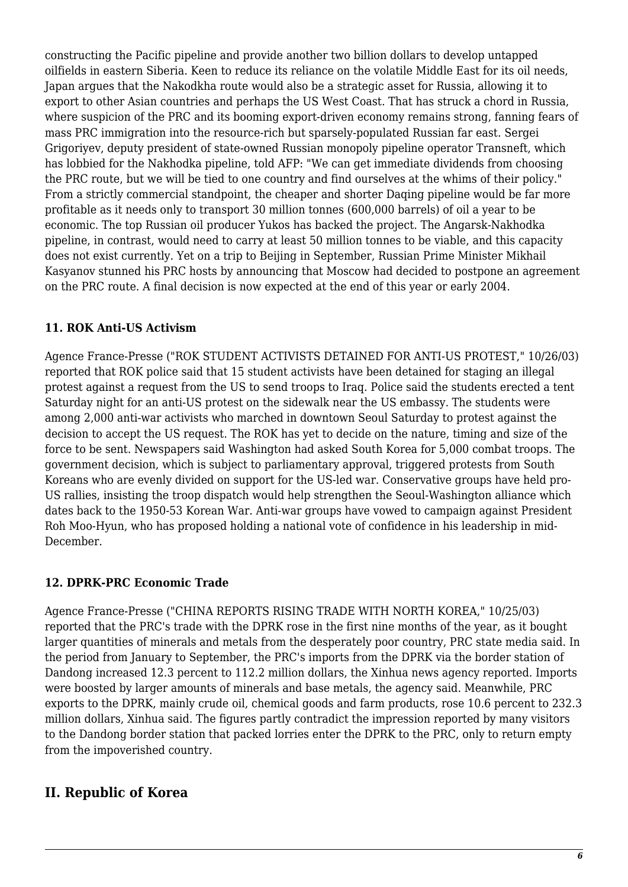constructing the Pacific pipeline and provide another two billion dollars to develop untapped oilfields in eastern Siberia. Keen to reduce its reliance on the volatile Middle East for its oil needs, Japan argues that the Nakodkha route would also be a strategic asset for Russia, allowing it to export to other Asian countries and perhaps the US West Coast. That has struck a chord in Russia, where suspicion of the PRC and its booming export-driven economy remains strong, fanning fears of mass PRC immigration into the resource-rich but sparsely-populated Russian far east. Sergei Grigoriyev, deputy president of state-owned Russian monopoly pipeline operator Transneft, which has lobbied for the Nakhodka pipeline, told AFP: "We can get immediate dividends from choosing the PRC route, but we will be tied to one country and find ourselves at the whims of their policy." From a strictly commercial standpoint, the cheaper and shorter Daqing pipeline would be far more profitable as it needs only to transport 30 million tonnes (600,000 barrels) of oil a year to be economic. The top Russian oil producer Yukos has backed the project. The Angarsk-Nakhodka pipeline, in contrast, would need to carry at least 50 million tonnes to be viable, and this capacity does not exist currently. Yet on a trip to Beijing in September, Russian Prime Minister Mikhail Kasyanov stunned his PRC hosts by announcing that Moscow had decided to postpone an agreement on the PRC route. A final decision is now expected at the end of this year or early 2004.

#### <span id="page-5-0"></span>**11. ROK Anti-US Activism**

Agence France-Presse ("ROK STUDENT ACTIVISTS DETAINED FOR ANTI-US PROTEST," 10/26/03) reported that ROK police said that 15 student activists have been detained for staging an illegal protest against a request from the US to send troops to Iraq. Police said the students erected a tent Saturday night for an anti-US protest on the sidewalk near the US embassy. The students were among 2,000 anti-war activists who marched in downtown Seoul Saturday to protest against the decision to accept the US request. The ROK has yet to decide on the nature, timing and size of the force to be sent. Newspapers said Washington had asked South Korea for 5,000 combat troops. The government decision, which is subject to parliamentary approval, triggered protests from South Koreans who are evenly divided on support for the US-led war. Conservative groups have held pro-US rallies, insisting the troop dispatch would help strengthen the Seoul-Washington alliance which dates back to the 1950-53 Korean War. Anti-war groups have vowed to campaign against President Roh Moo-Hyun, who has proposed holding a national vote of confidence in his leadership in mid-December.

#### <span id="page-5-1"></span>**12. DPRK-PRC Economic Trade**

Agence France-Presse ("CHINA REPORTS RISING TRADE WITH NORTH KOREA," 10/25/03) reported that the PRC's trade with the DPRK rose in the first nine months of the year, as it bought larger quantities of minerals and metals from the desperately poor country, PRC state media said. In the period from January to September, the PRC's imports from the DPRK via the border station of Dandong increased 12.3 percent to 112.2 million dollars, the Xinhua news agency reported. Imports were boosted by larger amounts of minerals and base metals, the agency said. Meanwhile, PRC exports to the DPRK, mainly crude oil, chemical goods and farm products, rose 10.6 percent to 232.3 million dollars, Xinhua said. The figures partly contradict the impression reported by many visitors to the Dandong border station that packed lorries enter the DPRK to the PRC, only to return empty from the impoverished country.

## <span id="page-5-3"></span><span id="page-5-2"></span>**II. Republic of Korea**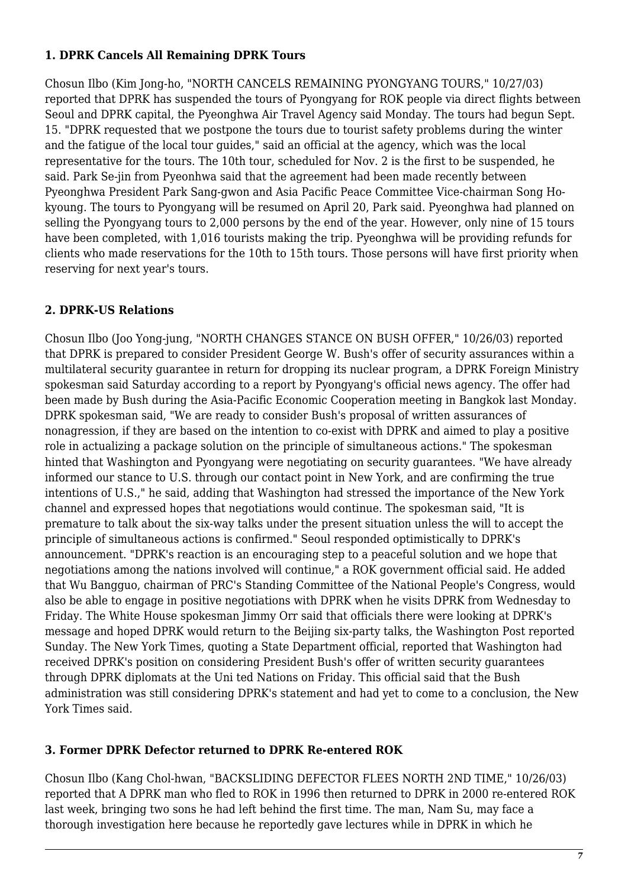#### **1. DPRK Cancels All Remaining DPRK Tours**

Chosun Ilbo (Kim Jong-ho, "NORTH CANCELS REMAINING PYONGYANG TOURS," 10/27/03) reported that DPRK has suspended the tours of Pyongyang for ROK people via direct flights between Seoul and DPRK capital, the Pyeonghwa Air Travel Agency said Monday. The tours had begun Sept. 15. "DPRK requested that we postpone the tours due to tourist safety problems during the winter and the fatigue of the local tour guides," said an official at the agency, which was the local representative for the tours. The 10th tour, scheduled for Nov. 2 is the first to be suspended, he said. Park Se-jin from Pyeonhwa said that the agreement had been made recently between Pyeonghwa President Park Sang-gwon and Asia Pacific Peace Committee Vice-chairman Song Hokyoung. The tours to Pyongyang will be resumed on April 20, Park said. Pyeonghwa had planned on selling the Pyongyang tours to 2,000 persons by the end of the year. However, only nine of 15 tours have been completed, with 1,016 tourists making the trip. Pyeonghwa will be providing refunds for clients who made reservations for the 10th to 15th tours. Those persons will have first priority when reserving for next year's tours.

#### <span id="page-6-0"></span>**2. DPRK-US Relations**

Chosun Ilbo (Joo Yong-jung, "NORTH CHANGES STANCE ON BUSH OFFER," 10/26/03) reported that DPRK is prepared to consider President George W. Bush's offer of security assurances within a multilateral security guarantee in return for dropping its nuclear program, a DPRK Foreign Ministry spokesman said Saturday according to a report by Pyongyang's official news agency. The offer had been made by Bush during the Asia-Pacific Economic Cooperation meeting in Bangkok last Monday. DPRK spokesman said, "We are ready to consider Bush's proposal of written assurances of nonagression, if they are based on the intention to co-exist with DPRK and aimed to play a positive role in actualizing a package solution on the principle of simultaneous actions." The spokesman hinted that Washington and Pyongyang were negotiating on security guarantees. "We have already informed our stance to U.S. through our contact point in New York, and are confirming the true intentions of U.S.," he said, adding that Washington had stressed the importance of the New York channel and expressed hopes that negotiations would continue. The spokesman said, "It is premature to talk about the six-way talks under the present situation unless the will to accept the principle of simultaneous actions is confirmed." Seoul responded optimistically to DPRK's announcement. "DPRK's reaction is an encouraging step to a peaceful solution and we hope that negotiations among the nations involved will continue," a ROK government official said. He added that Wu Bangguo, chairman of PRC's Standing Committee of the National People's Congress, would also be able to engage in positive negotiations with DPRK when he visits DPRK from Wednesday to Friday. The White House spokesman Jimmy Orr said that officials there were looking at DPRK's message and hoped DPRK would return to the Beijing six-party talks, the Washington Post reported Sunday. The New York Times, quoting a State Department official, reported that Washington had received DPRK's position on considering President Bush's offer of written security guarantees through DPRK diplomats at the Uni ted Nations on Friday. This official said that the Bush administration was still considering DPRK's statement and had yet to come to a conclusion, the New York Times said.

#### <span id="page-6-1"></span>**3. Former DPRK Defector returned to DPRK Re-entered ROK**

Chosun Ilbo (Kang Chol-hwan, "BACKSLIDING DEFECTOR FLEES NORTH 2ND TIME," 10/26/03) reported that A DPRK man who fled to ROK in 1996 then returned to DPRK in 2000 re-entered ROK last week, bringing two sons he had left behind the first time. The man, Nam Su, may face a thorough investigation here because he reportedly gave lectures while in DPRK in which he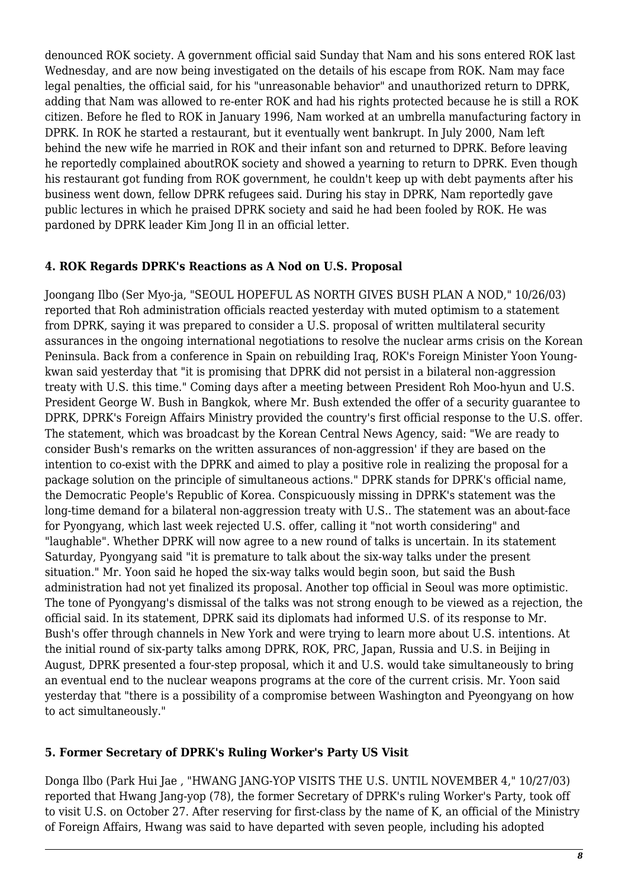denounced ROK society. A government official said Sunday that Nam and his sons entered ROK last Wednesday, and are now being investigated on the details of his escape from ROK. Nam may face legal penalties, the official said, for his "unreasonable behavior" and unauthorized return to DPRK, adding that Nam was allowed to re-enter ROK and had his rights protected because he is still a ROK citizen. Before he fled to ROK in January 1996, Nam worked at an umbrella manufacturing factory in DPRK. In ROK he started a restaurant, but it eventually went bankrupt. In July 2000, Nam left behind the new wife he married in ROK and their infant son and returned to DPRK. Before leaving he reportedly complained aboutROK society and showed a yearning to return to DPRK. Even though his restaurant got funding from ROK government, he couldn't keep up with debt payments after his business went down, fellow DPRK refugees said. During his stay in DPRK, Nam reportedly gave public lectures in which he praised DPRK society and said he had been fooled by ROK. He was pardoned by DPRK leader Kim Jong Il in an official letter.

#### <span id="page-7-0"></span>**4. ROK Regards DPRK's Reactions as A Nod on U.S. Proposal**

Joongang Ilbo (Ser Myo-ja, "SEOUL HOPEFUL AS NORTH GIVES BUSH PLAN A NOD," 10/26/03) reported that Roh administration officials reacted yesterday with muted optimism to a statement from DPRK, saying it was prepared to consider a U.S. proposal of written multilateral security assurances in the ongoing international negotiations to resolve the nuclear arms crisis on the Korean Peninsula. Back from a conference in Spain on rebuilding Iraq, ROK's Foreign Minister Yoon Youngkwan said yesterday that "it is promising that DPRK did not persist in a bilateral non-aggression treaty with U.S. this time." Coming days after a meeting between President Roh Moo-hyun and U.S. President George W. Bush in Bangkok, where Mr. Bush extended the offer of a security guarantee to DPRK, DPRK's Foreign Affairs Ministry provided the country's first official response to the U.S. offer. The statement, which was broadcast by the Korean Central News Agency, said: "We are ready to consider Bush's remarks on the written assurances of non-aggression' if they are based on the intention to co-exist with the DPRK and aimed to play a positive role in realizing the proposal for a package solution on the principle of simultaneous actions." DPRK stands for DPRK's official name, the Democratic People's Republic of Korea. Conspicuously missing in DPRK's statement was the long-time demand for a bilateral non-aggression treaty with U.S.. The statement was an about-face for Pyongyang, which last week rejected U.S. offer, calling it "not worth considering" and "laughable". Whether DPRK will now agree to a new round of talks is uncertain. In its statement Saturday, Pyongyang said "it is premature to talk about the six-way talks under the present situation." Mr. Yoon said he hoped the six-way talks would begin soon, but said the Bush administration had not yet finalized its proposal. Another top official in Seoul was more optimistic. The tone of Pyongyang's dismissal of the talks was not strong enough to be viewed as a rejection, the official said. In its statement, DPRK said its diplomats had informed U.S. of its response to Mr. Bush's offer through channels in New York and were trying to learn more about U.S. intentions. At the initial round of six-party talks among DPRK, ROK, PRC, Japan, Russia and U.S. in Beijing in August, DPRK presented a four-step proposal, which it and U.S. would take simultaneously to bring an eventual end to the nuclear weapons programs at the core of the current crisis. Mr. Yoon said yesterday that "there is a possibility of a compromise between Washington and Pyeongyang on how to act simultaneously."

#### <span id="page-7-1"></span>**5. Former Secretary of DPRK's Ruling Worker's Party US Visit**

Donga Ilbo (Park Hui Jae , "HWANG JANG-YOP VISITS THE U.S. UNTIL NOVEMBER 4," 10/27/03) reported that Hwang Jang-yop (78), the former Secretary of DPRK's ruling Worker's Party, took off to visit U.S. on October 27. After reserving for first-class by the name of K, an official of the Ministry of Foreign Affairs, Hwang was said to have departed with seven people, including his adopted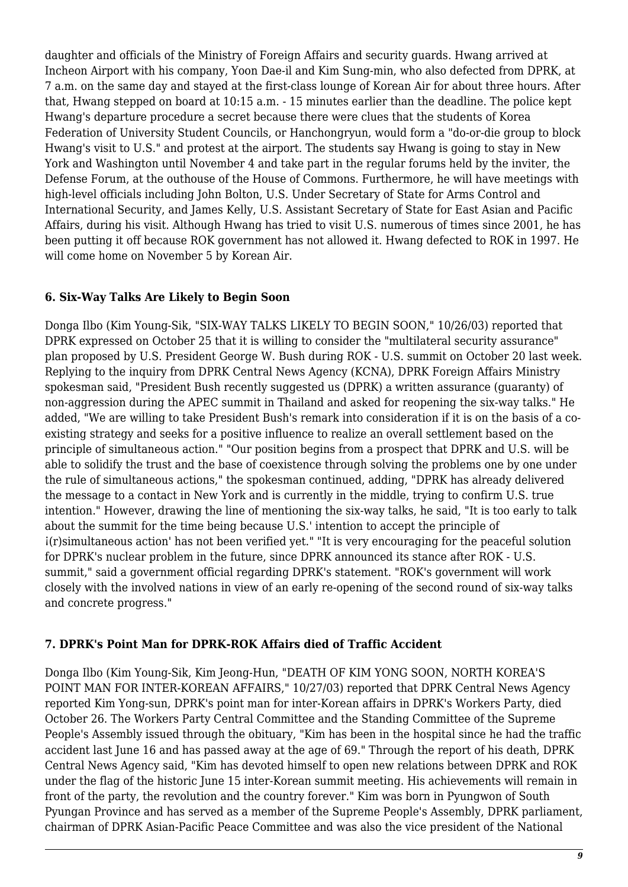daughter and officials of the Ministry of Foreign Affairs and security guards. Hwang arrived at Incheon Airport with his company, Yoon Dae-il and Kim Sung-min, who also defected from DPRK, at 7 a.m. on the same day and stayed at the first-class lounge of Korean Air for about three hours. After that, Hwang stepped on board at 10:15 a.m. - 15 minutes earlier than the deadline. The police kept Hwang's departure procedure a secret because there were clues that the students of Korea Federation of University Student Councils, or Hanchongryun, would form a "do-or-die group to block Hwang's visit to U.S." and protest at the airport. The students say Hwang is going to stay in New York and Washington until November 4 and take part in the regular forums held by the inviter, the Defense Forum, at the outhouse of the House of Commons. Furthermore, he will have meetings with high-level officials including John Bolton, U.S. Under Secretary of State for Arms Control and International Security, and James Kelly, U.S. Assistant Secretary of State for East Asian and Pacific Affairs, during his visit. Although Hwang has tried to visit U.S. numerous of times since 2001, he has been putting it off because ROK government has not allowed it. Hwang defected to ROK in 1997. He will come home on November 5 by Korean Air.

#### <span id="page-8-0"></span>**6. Six-Way Talks Are Likely to Begin Soon**

Donga Ilbo (Kim Young-Sik, "SIX-WAY TALKS LIKELY TO BEGIN SOON," 10/26/03) reported that DPRK expressed on October 25 that it is willing to consider the "multilateral security assurance" plan proposed by U.S. President George W. Bush during ROK - U.S. summit on October 20 last week. Replying to the inquiry from DPRK Central News Agency (KCNA), DPRK Foreign Affairs Ministry spokesman said, "President Bush recently suggested us (DPRK) a written assurance (guaranty) of non-aggression during the APEC summit in Thailand and asked for reopening the six-way talks." He added, "We are willing to take President Bush's remark into consideration if it is on the basis of a coexisting strategy and seeks for a positive influence to realize an overall settlement based on the principle of simultaneous action." "Our position begins from a prospect that DPRK and U.S. will be able to solidify the trust and the base of coexistence through solving the problems one by one under the rule of simultaneous actions," the spokesman continued, adding, "DPRK has already delivered the message to a contact in New York and is currently in the middle, trying to confirm U.S. true intention." However, drawing the line of mentioning the six-way talks, he said, "It is too early to talk about the summit for the time being because U.S.' intention to accept the principle of i(r)simultaneous action' has not been verified yet." "It is very encouraging for the peaceful solution for DPRK's nuclear problem in the future, since DPRK announced its stance after ROK - U.S. summit," said a government official regarding DPRK's statement. "ROK's government will work closely with the involved nations in view of an early re-opening of the second round of six-way talks and concrete progress."

#### <span id="page-8-1"></span>**7. DPRK's Point Man for DPRK-ROK Affairs died of Traffic Accident**

Donga Ilbo (Kim Young-Sik, Kim Jeong-Hun, "DEATH OF KIM YONG SOON, NORTH KOREA'S POINT MAN FOR INTER-KOREAN AFFAIRS," 10/27/03) reported that DPRK Central News Agency reported Kim Yong-sun, DPRK's point man for inter-Korean affairs in DPRK's Workers Party, died October 26. The Workers Party Central Committee and the Standing Committee of the Supreme People's Assembly issued through the obituary, "Kim has been in the hospital since he had the traffic accident last June 16 and has passed away at the age of 69." Through the report of his death, DPRK Central News Agency said, "Kim has devoted himself to open new relations between DPRK and ROK under the flag of the historic June 15 inter-Korean summit meeting. His achievements will remain in front of the party, the revolution and the country forever." Kim was born in Pyungwon of South Pyungan Province and has served as a member of the Supreme People's Assembly, DPRK parliament, chairman of DPRK Asian-Pacific Peace Committee and was also the vice president of the National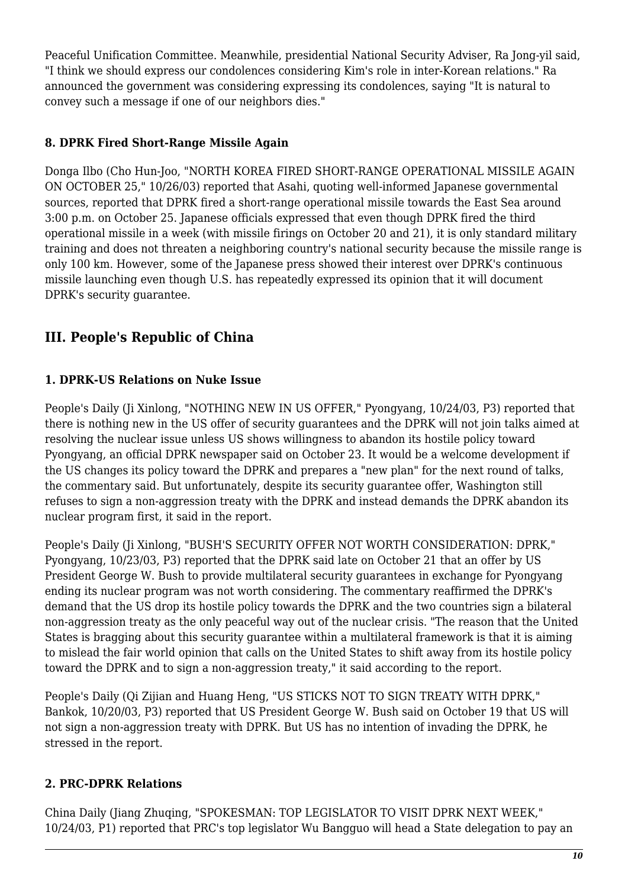Peaceful Unification Committee. Meanwhile, presidential National Security Adviser, Ra Jong-yil said, "I think we should express our condolences considering Kim's role in inter-Korean relations." Ra announced the government was considering expressing its condolences, saying "It is natural to convey such a message if one of our neighbors dies."

#### <span id="page-9-0"></span>**8. DPRK Fired Short-Range Missile Again**

Donga Ilbo (Cho Hun-Joo, "NORTH KOREA FIRED SHORT-RANGE OPERATIONAL MISSILE AGAIN ON OCTOBER 25," 10/26/03) reported that Asahi, quoting well-informed Japanese governmental sources, reported that DPRK fired a short-range operational missile towards the East Sea around 3:00 p.m. on October 25. Japanese officials expressed that even though DPRK fired the third operational missile in a week (with missile firings on October 20 and 21), it is only standard military training and does not threaten a neighboring country's national security because the missile range is only 100 km. However, some of the Japanese press showed their interest over DPRK's continuous missile launching even though U.S. has repeatedly expressed its opinion that it will document DPRK's security guarantee.

## <span id="page-9-1"></span>**III. People's Republic of China**

#### <span id="page-9-2"></span>**1. DPRK-US Relations on Nuke Issue**

People's Daily (Ji Xinlong, "NOTHING NEW IN US OFFER," Pyongyang, 10/24/03, P3) reported that there is nothing new in the US offer of security guarantees and the DPRK will not join talks aimed at resolving the nuclear issue unless US shows willingness to abandon its hostile policy toward Pyongyang, an official DPRK newspaper said on October 23. It would be a welcome development if the US changes its policy toward the DPRK and prepares a "new plan" for the next round of talks, the commentary said. But unfortunately, despite its security guarantee offer, Washington still refuses to sign a non-aggression treaty with the DPRK and instead demands the DPRK abandon its nuclear program first, it said in the report.

People's Daily (Ji Xinlong, "BUSH'S SECURITY OFFER NOT WORTH CONSIDERATION: DPRK," Pyongyang, 10/23/03, P3) reported that the DPRK said late on October 21 that an offer by US President George W. Bush to provide multilateral security guarantees in exchange for Pyongyang ending its nuclear program was not worth considering. The commentary reaffirmed the DPRK's demand that the US drop its hostile policy towards the DPRK and the two countries sign a bilateral non-aggression treaty as the only peaceful way out of the nuclear crisis. "The reason that the United States is bragging about this security guarantee within a multilateral framework is that it is aiming to mislead the fair world opinion that calls on the United States to shift away from its hostile policy toward the DPRK and to sign a non-aggression treaty," it said according to the report.

People's Daily (Qi Zijian and Huang Heng, "US STICKS NOT TO SIGN TREATY WITH DPRK," Bankok, 10/20/03, P3) reported that US President George W. Bush said on October 19 that US will not sign a non-aggression treaty with DPRK. But US has no intention of invading the DPRK, he stressed in the report.

#### <span id="page-9-3"></span>**2. PRC-DPRK Relations**

China Daily (Jiang Zhuqing, "SPOKESMAN: TOP LEGISLATOR TO VISIT DPRK NEXT WEEK," 10/24/03, P1) reported that PRC's top legislator Wu Bangguo will head a State delegation to pay an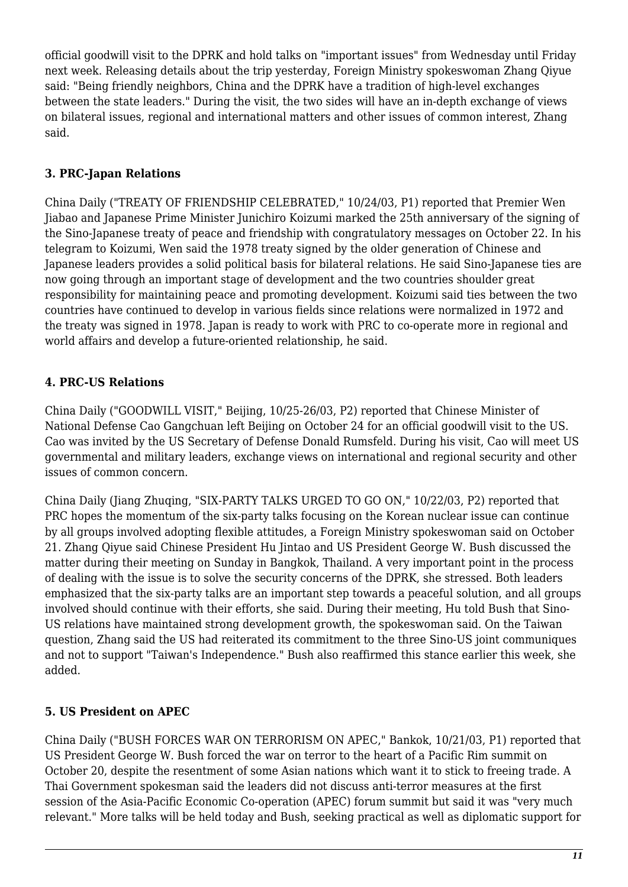official goodwill visit to the DPRK and hold talks on "important issues" from Wednesday until Friday next week. Releasing details about the trip yesterday, Foreign Ministry spokeswoman Zhang Qiyue said: "Being friendly neighbors, China and the DPRK have a tradition of high-level exchanges between the state leaders." During the visit, the two sides will have an in-depth exchange of views on bilateral issues, regional and international matters and other issues of common interest, Zhang said.

#### <span id="page-10-0"></span>**3. PRC-Japan Relations**

China Daily ("TREATY OF FRIENDSHIP CELEBRATED," 10/24/03, P1) reported that Premier Wen Jiabao and Japanese Prime Minister Junichiro Koizumi marked the 25th anniversary of the signing of the Sino-Japanese treaty of peace and friendship with congratulatory messages on October 22. In his telegram to Koizumi, Wen said the 1978 treaty signed by the older generation of Chinese and Japanese leaders provides a solid political basis for bilateral relations. He said Sino-Japanese ties are now going through an important stage of development and the two countries shoulder great responsibility for maintaining peace and promoting development. Koizumi said ties between the two countries have continued to develop in various fields since relations were normalized in 1972 and the treaty was signed in 1978. Japan is ready to work with PRC to co-operate more in regional and world affairs and develop a future-oriented relationship, he said.

#### <span id="page-10-1"></span>**4. PRC-US Relations**

China Daily ("GOODWILL VISIT," Beijing, 10/25-26/03, P2) reported that Chinese Minister of National Defense Cao Gangchuan left Beijing on October 24 for an official goodwill visit to the US. Cao was invited by the US Secretary of Defense Donald Rumsfeld. During his visit, Cao will meet US governmental and military leaders, exchange views on international and regional security and other issues of common concern.

China Daily (Jiang Zhuqing, "SIX-PARTY TALKS URGED TO GO ON," 10/22/03, P2) reported that PRC hopes the momentum of the six-party talks focusing on the Korean nuclear issue can continue by all groups involved adopting flexible attitudes, a Foreign Ministry spokeswoman said on October 21. Zhang Qiyue said Chinese President Hu Jintao and US President George W. Bush discussed the matter during their meeting on Sunday in Bangkok, Thailand. A very important point in the process of dealing with the issue is to solve the security concerns of the DPRK, she stressed. Both leaders emphasized that the six-party talks are an important step towards a peaceful solution, and all groups involved should continue with their efforts, she said. During their meeting, Hu told Bush that Sino-US relations have maintained strong development growth, the spokeswoman said. On the Taiwan question, Zhang said the US had reiterated its commitment to the three Sino-US joint communiques and not to support "Taiwan's Independence." Bush also reaffirmed this stance earlier this week, she added.

#### <span id="page-10-2"></span>**5. US President on APEC**

China Daily ("BUSH FORCES WAR ON TERRORISM ON APEC," Bankok, 10/21/03, P1) reported that US President George W. Bush forced the war on terror to the heart of a Pacific Rim summit on October 20, despite the resentment of some Asian nations which want it to stick to freeing trade. A Thai Government spokesman said the leaders did not discuss anti-terror measures at the first session of the Asia-Pacific Economic Co-operation (APEC) forum summit but said it was "very much relevant." More talks will be held today and Bush, seeking practical as well as diplomatic support for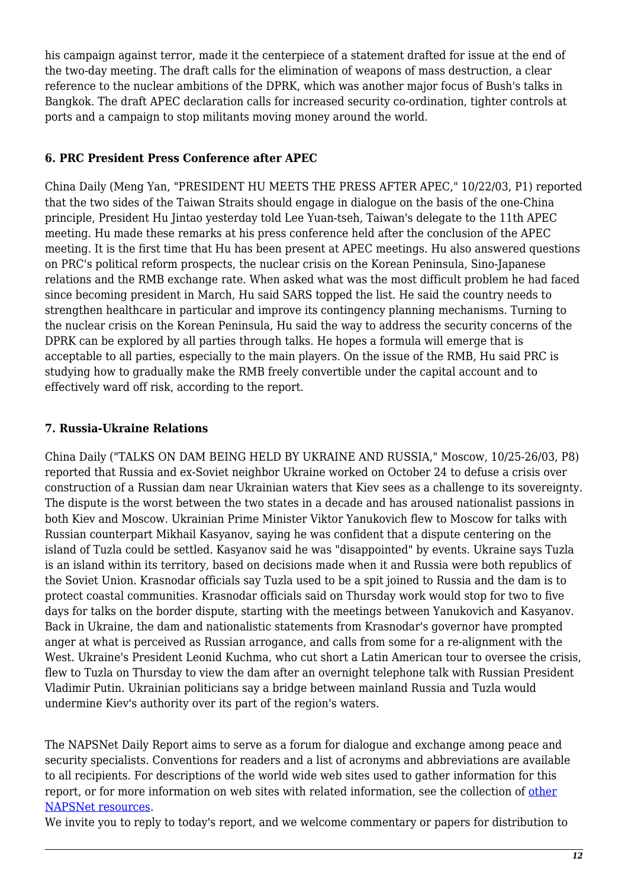his campaign against terror, made it the centerpiece of a statement drafted for issue at the end of the two-day meeting. The draft calls for the elimination of weapons of mass destruction, a clear reference to the nuclear ambitions of the DPRK, which was another major focus of Bush's talks in Bangkok. The draft APEC declaration calls for increased security co-ordination, tighter controls at ports and a campaign to stop militants moving money around the world.

#### <span id="page-11-0"></span>**6. PRC President Press Conference after APEC**

China Daily (Meng Yan, "PRESIDENT HU MEETS THE PRESS AFTER APEC," 10/22/03, P1) reported that the two sides of the Taiwan Straits should engage in dialogue on the basis of the one-China principle, President Hu Jintao yesterday told Lee Yuan-tseh, Taiwan's delegate to the 11th APEC meeting. Hu made these remarks at his press conference held after the conclusion of the APEC meeting. It is the first time that Hu has been present at APEC meetings. Hu also answered questions on PRC's political reform prospects, the nuclear crisis on the Korean Peninsula, Sino-Japanese relations and the RMB exchange rate. When asked what was the most difficult problem he had faced since becoming president in March, Hu said SARS topped the list. He said the country needs to strengthen healthcare in particular and improve its contingency planning mechanisms. Turning to the nuclear crisis on the Korean Peninsula, Hu said the way to address the security concerns of the DPRK can be explored by all parties through talks. He hopes a formula will emerge that is acceptable to all parties, especially to the main players. On the issue of the RMB, Hu said PRC is studying how to gradually make the RMB freely convertible under the capital account and to effectively ward off risk, according to the report.

#### <span id="page-11-1"></span>**7. Russia-Ukraine Relations**

China Daily ("TALKS ON DAM BEING HELD BY UKRAINE AND RUSSIA," Moscow, 10/25-26/03, P8) reported that Russia and ex-Soviet neighbor Ukraine worked on October 24 to defuse a crisis over construction of a Russian dam near Ukrainian waters that Kiev sees as a challenge to its sovereignty. The dispute is the worst between the two states in a decade and has aroused nationalist passions in both Kiev and Moscow. Ukrainian Prime Minister Viktor Yanukovich flew to Moscow for talks with Russian counterpart Mikhail Kasyanov, saying he was confident that a dispute centering on the island of Tuzla could be settled. Kasyanov said he was "disappointed" by events. Ukraine says Tuzla is an island within its territory, based on decisions made when it and Russia were both republics of the Soviet Union. Krasnodar officials say Tuzla used to be a spit joined to Russia and the dam is to protect coastal communities. Krasnodar officials said on Thursday work would stop for two to five days for talks on the border dispute, starting with the meetings between Yanukovich and Kasyanov. Back in Ukraine, the dam and nationalistic statements from Krasnodar's governor have prompted anger at what is perceived as Russian arrogance, and calls from some for a re-alignment with the West. Ukraine's President Leonid Kuchma, who cut short a Latin American tour to oversee the crisis, flew to Tuzla on Thursday to view the dam after an overnight telephone talk with Russian President Vladimir Putin. Ukrainian politicians say a bridge between mainland Russia and Tuzla would undermine Kiev's authority over its part of the region's waters.

The NAPSNet Daily Report aims to serve as a forum for dialogue and exchange among peace and security specialists. Conventions for readers and a list of acronyms and abbreviations are available to all recipients. For descriptions of the world wide web sites used to gather information for this report, or for more information on web sites with related information, see the collection of [other](http://nautilus.org/kiosk/weblinks.html) [NAPSNet resources.](http://nautilus.org/kiosk/weblinks.html)

We invite you to reply to today's report, and we welcome commentary or papers for distribution to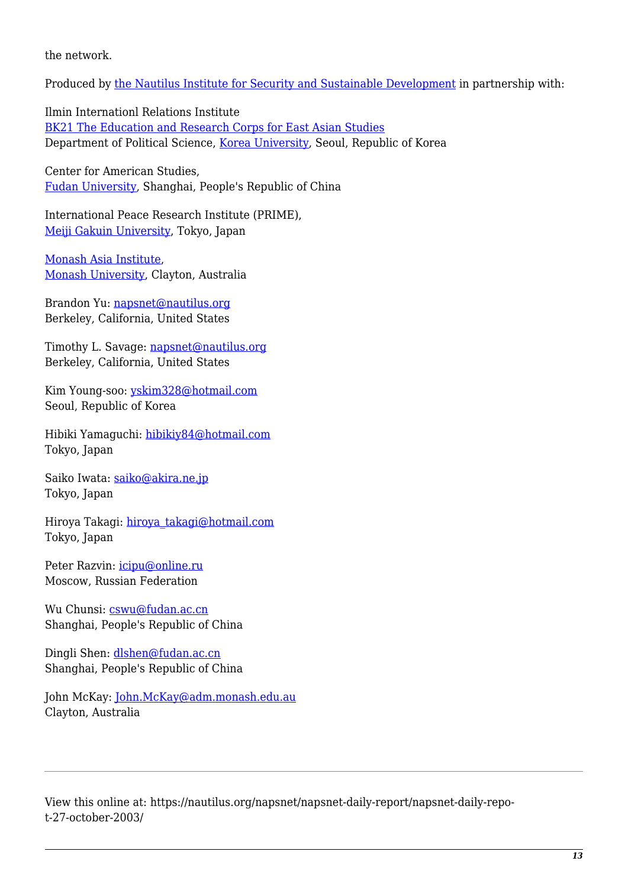the network.

Produced by [the Nautilus Institute for Security and Sustainable Development](http://nautilus.org/admin/about.html) in partnership with:

Ilmin Internationl Relations Institute [BK21 The Education and Research Corps for East Asian Studies](http://web.korea.ac.kr/~politics/index.html) Department of Political Science, [Korea University,](http://www.korea.ac.kr/) Seoul, Republic of Korea

Center for American Studies, [Fudan University](http://www.fudan.edu.cn/English/nsindex.html), Shanghai, People's Republic of China

International Peace Research Institute (PRIME), [Meiji Gakuin University,](http://www.meijigakuin.ac.jp) Tokyo, Japan

[Monash Asia Institute,](http://www.adm.monash.edu.au) [Monash University](http://www.monash.edu.au/), Clayton, Australia

Brandon Yu: [napsnet@nautilus.org](mailto:napsnet@nautilus.org) Berkeley, California, United States

Timothy L. Savage: [napsnet@nautilus.org](mailto:napsnet@nautilus.org) Berkeley, California, United States

Kim Young-soo: [yskim328@hotmail.com](mailto:yskim328@hotmail.com) Seoul, Republic of Korea

Hibiki Yamaguchi: [hibikiy84@hotmail.com](mailto:hibikiy@dh.mbn.or.jp) Tokyo, Japan

Saiko Iwata: [saiko@akira.ne.jp](mailto:rumiko-seya@geocities.co.jp) Tokyo, Japan

Hiroya Takagi: [hiroya\\_takagi@hotmail.com](mailto:hiroya_takagi@hotmail.com) Tokyo, Japan

Peter Razvin: [icipu@online.ru](mailto:icipu@online.ru) Moscow, Russian Federation

Wu Chunsi: [cswu@fudan.ac.cn](mailto:cswu@fudan.ac.cn) Shanghai, People's Republic of China

Dingli Shen: [dlshen@fudan.ac.cn](mailto:dlshen@fudan.ac.cn) Shanghai, People's Republic of China

John McKay: [John.McKay@adm.monash.edu.au](mailto:John.McKay@adm.monash.edu.au) Clayton, Australia

View this online at: https://nautilus.org/napsnet/napsnet-daily-report/napsnet-daily-repot-27-october-2003/